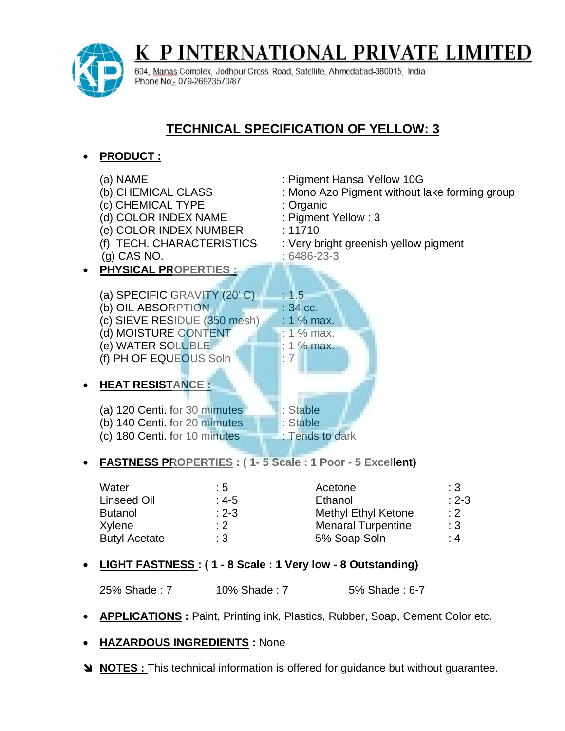

P INTERNATIONAL PRIVATE LIMITED K

604, Manas Complex, Jodhpur Cross Road, Satellite, Ahmedatad-380015, India Phone No.: 079-26923570/87

## **TECHNICAL SPECIFICATION OF YELLOW: 3**

## **PRODUCT :**

|           | (a) NAME<br>(b) CHEMICAL CLASS<br>(c) CHEMICAL TYPE<br>(d) COLOR INDEX NAME<br>(e) COLOR INDEX NUMBER<br>(f) TECH. CHARACTERISTICS<br>$(g)$ CAS NO.                                 | : Organic<br>: 11710                                                | : Pigment Hansa Yellow 10G<br>: Mono Azo Pigment without lake forming group<br>: Pigment Yellow: 3<br>: Very bright greenish yellow pigment<br>$:6486-23-3$ |                                     |  |
|-----------|-------------------------------------------------------------------------------------------------------------------------------------------------------------------------------------|---------------------------------------------------------------------|-------------------------------------------------------------------------------------------------------------------------------------------------------------|-------------------------------------|--|
| $\bullet$ | <b>PHYSICAL PROPERTIES:</b>                                                                                                                                                         |                                                                     |                                                                                                                                                             |                                     |  |
| $\bullet$ | (a) SPECIFIC GRAVITY (20'C)<br>(b) OIL ABSORPTION<br>(c) SIEVE RESIDUE (350 mesh)<br>(d) MOISTURE CONTENT<br>(e) WATER SOLUBLE<br>(f) PH OF EQUEOUS Soln<br><b>HEAT RESISTANCE:</b> | : 1.5<br>: 34 cc.<br>: 1 % max.<br>$: 1\%$ max.<br>: 1 % max.<br>:7 |                                                                                                                                                             |                                     |  |
|           |                                                                                                                                                                                     |                                                                     |                                                                                                                                                             |                                     |  |
|           | (a) 120 Centi. for 30 mimutes<br>: Stable                                                                                                                                           |                                                                     |                                                                                                                                                             |                                     |  |
|           | (b) 140 Centi. for 20 mimutes                                                                                                                                                       |                                                                     | : Stable                                                                                                                                                    |                                     |  |
|           | (c) 180 Centi. for 10 minutes<br>: Tends to dark                                                                                                                                    |                                                                     |                                                                                                                                                             |                                     |  |
|           | <b>FASTNESS PROPERTIES: (1-5 Scale: 1 Poor - 5 Excellent)</b>                                                                                                                       |                                                                     |                                                                                                                                                             |                                     |  |
|           | Water<br>: 5<br><b>Linseed Oil</b><br>: $4-5$<br>$: 2 - 3$<br><b>Butanol</b><br>Xylene<br>$: 2^-$<br><b>Butyl Acetate</b><br>:3                                                     |                                                                     | Acetone<br>Ethanol<br><b>Methyl Ethyl Ketone</b><br><b>Menaral Turpentine</b><br>5% Soap Soln                                                               | :3<br>$: 2 - 3$<br>: 2<br>:3<br>: 4 |  |

**LIGHT FASTNESS : ( 1 - 8 Scale : 1 Very low - 8 Outstanding)**

25% Shade : 7 10% Shade : 7 5% Shade : 6-7

- **APPLICATIONS**: Paint, Printing ink, Plastics, Rubber, Soap, Cement Color etc.
- **HAZARDOUS INGREDIENTS :** None
- **NOTES :** This technical information is offered for guidance but without guarantee.